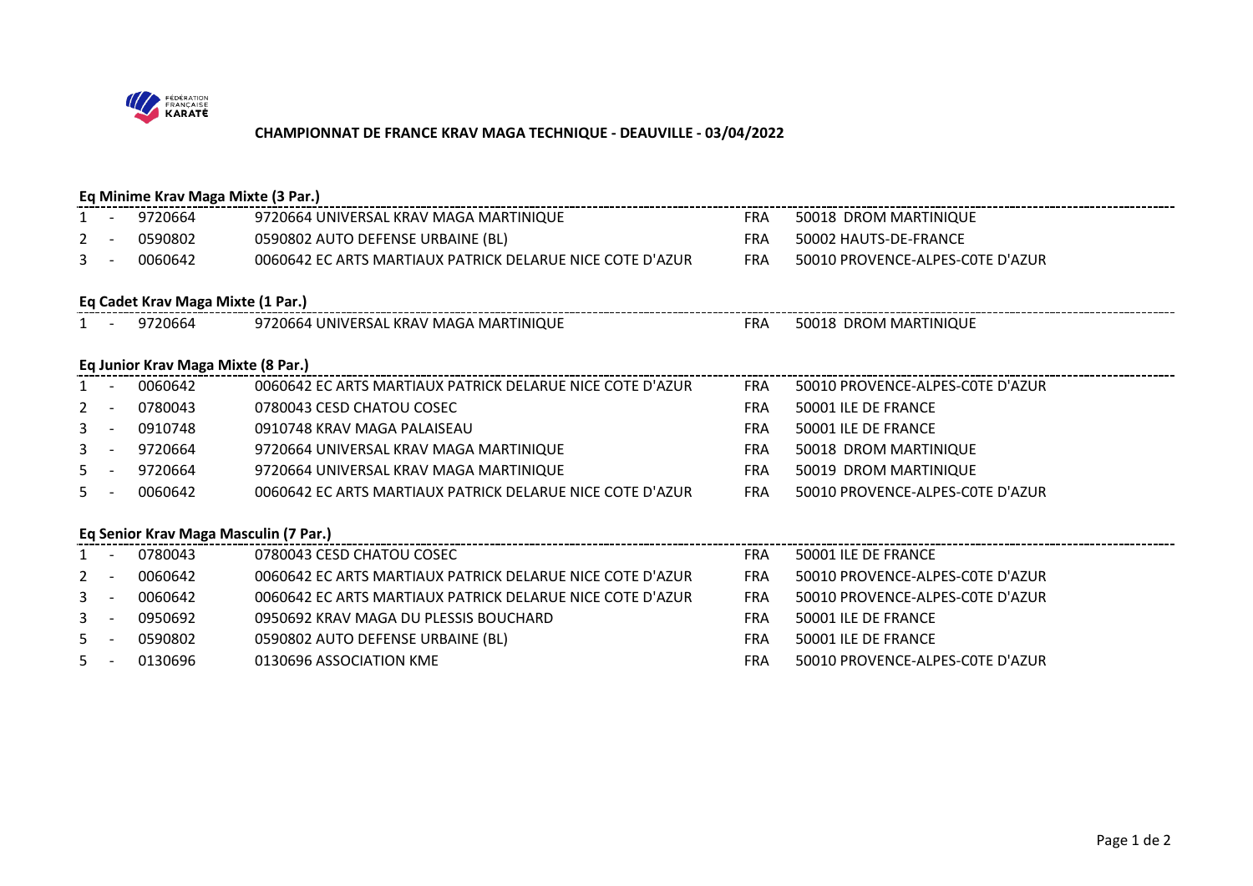

## **CHAMPIONNAT DE FRANCE KRAV MAGA TECHNIQUE - DEAUVILLE - 03/04/2022**

| Eq Minime Krav Maga Mixte (3 Par.)    |                          |         |                                                           |            |                                  |  |  |  |  |  |
|---------------------------------------|--------------------------|---------|-----------------------------------------------------------|------------|----------------------------------|--|--|--|--|--|
|                                       |                          | 9720664 | 9720664 UNIVERSAL KRAV MAGA MARTINIQUE                    | <b>FRA</b> | 50018 DROM MARTINIQUE            |  |  |  |  |  |
| 2                                     |                          | 0590802 | 0590802 AUTO DEFENSE URBAINE (BL)                         | <b>FRA</b> | 50002 HAUTS-DE-FRANCE            |  |  |  |  |  |
| 3                                     | $\overline{\phantom{a}}$ | 0060642 | 0060642 EC ARTS MARTIAUX PATRICK DELARUE NICE COTE D'AZUR | <b>FRA</b> | 50010 PROVENCE-ALPES-COTE D'AZUR |  |  |  |  |  |
| Eq Cadet Krav Maga Mixte (1 Par.)     |                          |         |                                                           |            |                                  |  |  |  |  |  |
| $1 -$                                 |                          | 9720664 | 9720664 UNIVERSAL KRAV MAGA MARTINIQUE                    | FRA        | 50018 DROM MARTINIQUE            |  |  |  |  |  |
| Eq Junior Krav Maga Mixte (8 Par.)    |                          |         |                                                           |            |                                  |  |  |  |  |  |
|                                       |                          | 0060642 | 0060642 EC ARTS MARTIAUX PATRICK DELARUE NICE COTE D'AZUR | <b>FRA</b> | 50010 PROVENCE-ALPES-COTE D'AZUR |  |  |  |  |  |
| 2                                     |                          | 0780043 | 0780043 CESD CHATOU COSEC                                 | <b>FRA</b> | 50001 ILE DE FRANCE              |  |  |  |  |  |
| $\mathbf{3}$                          | $\overline{\phantom{a}}$ | 0910748 | 0910748 KRAV MAGA PALAISEAU                               | <b>FRA</b> | 50001 ILE DE FRANCE              |  |  |  |  |  |
| 3                                     | $\overline{\phantom{a}}$ | 9720664 | 9720664 UNIVERSAL KRAV MAGA MARTINIQUE                    | <b>FRA</b> | 50018 DROM MARTINIQUE            |  |  |  |  |  |
| 5 <sup>1</sup>                        | $\overline{a}$           | 9720664 | 9720664 UNIVERSAL KRAV MAGA MARTINIQUE                    | <b>FRA</b> | 50019 DROM MARTINIQUE            |  |  |  |  |  |
| $5 -$                                 |                          | 0060642 | 0060642 EC ARTS MARTIAUX PATRICK DELARUE NICE COTE D'AZUR | <b>FRA</b> | 50010 PROVENCE-ALPES-COTE D'AZUR |  |  |  |  |  |
|                                       |                          |         |                                                           |            |                                  |  |  |  |  |  |
| Eq Senior Krav Maga Masculin (7 Par.) |                          |         |                                                           |            |                                  |  |  |  |  |  |
|                                       |                          | 0780043 | 0780043 CESD CHATOU COSEC                                 | <b>FRA</b> | 50001 ILE DE FRANCE              |  |  |  |  |  |
| 2                                     |                          | 0060642 | 0060642 EC ARTS MARTIAUX PATRICK DELARUE NICE COTE D'AZUR | <b>FRA</b> | 50010 PROVENCE-ALPES-COTE D'AZUR |  |  |  |  |  |
| $\mathbf{3}$                          | $\overline{\phantom{a}}$ | 0060642 | 0060642 EC ARTS MARTIAUX PATRICK DELARUE NICE COTE D'AZUR | <b>FRA</b> | 50010 PROVENCE-ALPES-COTE D'AZUR |  |  |  |  |  |
| $\mathbf{3}$                          | $\overline{\phantom{a}}$ | 0950692 | 0950692 KRAV MAGA DU PLESSIS BOUCHARD                     | <b>FRA</b> | 50001 ILE DE FRANCE              |  |  |  |  |  |
| .5.                                   |                          | 0590802 | 0590802 AUTO DEFENSE URBAINE (BL)                         | <b>FRA</b> | 50001 ILE DE FRANCE              |  |  |  |  |  |
| $5 -$                                 | $\overline{\phantom{a}}$ | 0130696 | 0130696 ASSOCIATION KME                                   | <b>FRA</b> | 50010 PROVENCE-ALPES-COTE D'AZUR |  |  |  |  |  |